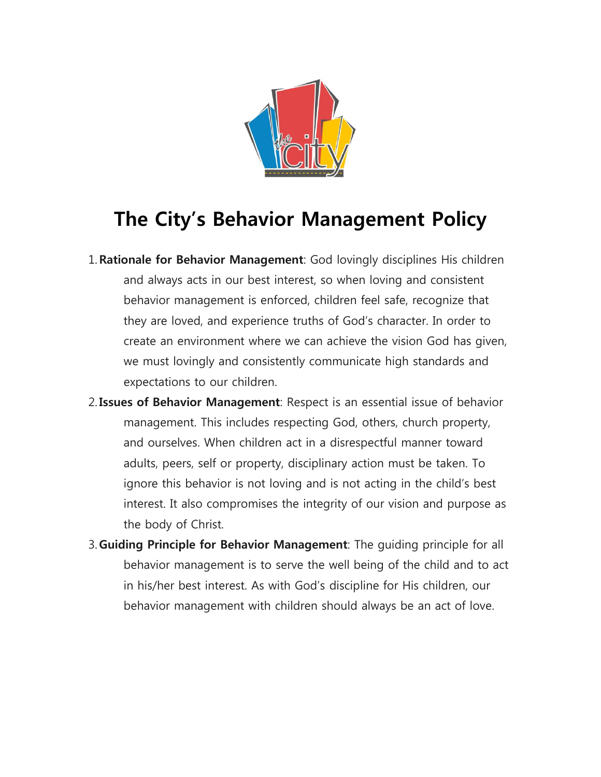

## **The City's Behavior Management Policy**

- 1.**Rationale for Behavior Management**: God lovingly disciplines His children and always acts in our best interest, so when loving and consistent behavior management is enforced, children feel safe, recognize that they are loved, and experience truths of God's character. In order to create an environment where we can achieve the vision God has given, we must lovingly and consistently communicate high standards and expectations to our children.
- 2.**Issues of Behavior Management**: Respect is an essential issue of behavior management. This includes respecting God, others, church property, and ourselves. When children act in a disrespectful manner toward adults, peers, self or property, disciplinary action must be taken. To ignore this behavior is not loving and is not acting in the child's best interest. It also compromises the integrity of our vision and purpose as the body of Christ.
- 3. **Guiding Principle for Behavior Management**: The guiding principle for all behavior management is to serve the well being of the child and to act in his/her best interest. As with God's discipline for His children, our behavior management with children should always be an act of love.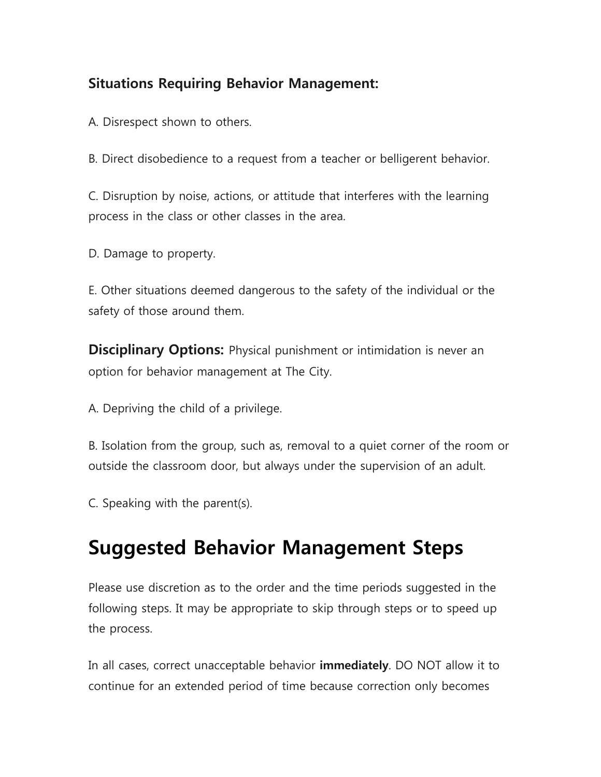## **Situations Requiring Behavior Management:**

A. Disrespect shown to others.

B. Direct disobedience to a request from a teacher or belligerent behavior.

C. Disruption by noise, actions, or attitude that interferes with the learning process in the class or other classes in the area.

D. Damage to property.

E. Other situations deemed dangerous to the safety of the individual or the safety of those around them.

**Disciplinary Options:** Physical punishment or intimidation is never an option for behavior management at The City.

A. Depriving the child of a privilege.

B. Isolation from the group, such as, removal to a quiet corner of the room or outside the classroom door, but always under the supervision of an adult.

C. Speaking with the parent(s).

## **Suggested Behavior Management Steps**

Please use discretion as to the order and the time periods suggested in the following steps. It may be appropriate to skip through steps or to speed up the process.

In all cases, correct unacceptable behavior **immediately**. DO NOT allow it to continue for an extended period of time because correction only becomes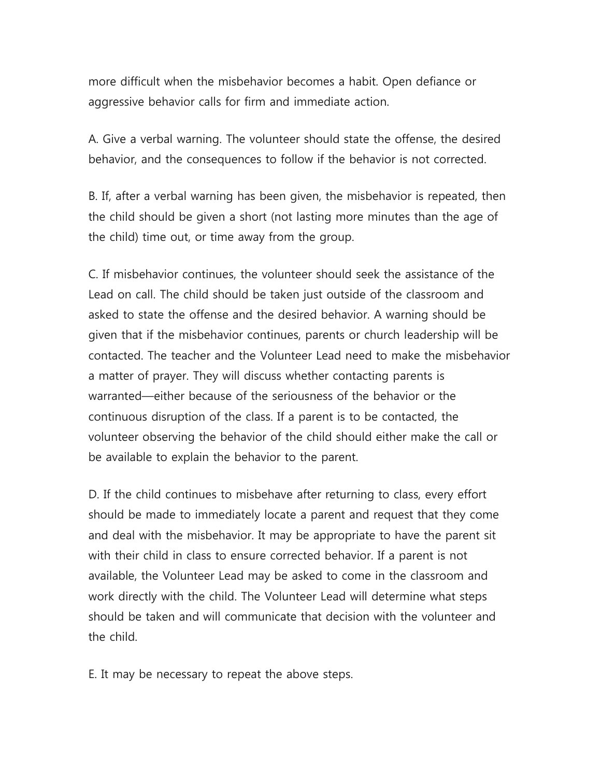more difficult when the misbehavior becomes a habit. Open defiance or aggressive behavior calls for firm and immediate action.

A. Give a verbal warning. The volunteer should state the offense, the desired behavior, and the consequences to follow if the behavior is not corrected.

B. If, after a verbal warning has been given, the misbehavior is repeated, then the child should be given a short (not lasting more minutes than the age of the child) time out, or time away from the group.

C. If misbehavior continues, the volunteer should seek the assistance of the Lead on call. The child should be taken just outside of the classroom and asked to state the offense and the desired behavior. A warning should be given that if the misbehavior continues, parents or church leadership will be contacted. The teacher and the Volunteer Lead need to make the misbehavior a matter of prayer. They will discuss whether contacting parents is warranted—either because of the seriousness of the behavior or the continuous disruption of the class. If a parent is to be contacted, the volunteer observing the behavior of the child should either make the call or be available to explain the behavior to the parent.

D. If the child continues to misbehave after returning to class, every effort should be made to immediately locate a parent and request that they come and deal with the misbehavior. It may be appropriate to have the parent sit with their child in class to ensure corrected behavior. If a parent is not available, the Volunteer Lead may be asked to come in the classroom and work directly with the child. The Volunteer Lead will determine what steps should be taken and will communicate that decision with the volunteer and the child.

E. It may be necessary to repeat the above steps.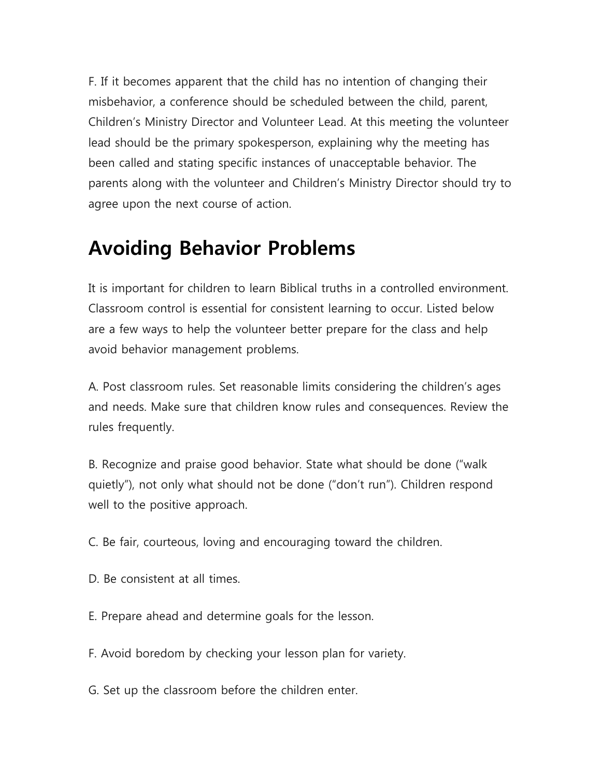F. If it becomes apparent that the child has no intention of changing their misbehavior, a conference should be scheduled between the child, parent, Children's Ministry Director and Volunteer Lead. At this meeting the volunteer lead should be the primary spokesperson, explaining why the meeting has been called and stating specific instances of unacceptable behavior. The parents along with the volunteer and Children's Ministry Director should try to agree upon the next course of action.

## **Avoiding Behavior Problems**

It is important for children to learn Biblical truths in a controlled environment. Classroom control is essential for consistent learning to occur. Listed below are a few ways to help the volunteer better prepare for the class and help avoid behavior management problems.

A. Post classroom rules. Set reasonable limits considering the children's ages and needs. Make sure that children know rules and consequences. Review the rules frequently.

B. Recognize and praise good behavior. State what should be done ("walk quietly"), not only what should not be done ("don't run"). Children respond well to the positive approach.

C. Be fair, courteous, loving and encouraging toward the children.

- D. Be consistent at all times.
- E. Prepare ahead and determine goals for the lesson.
- F. Avoid boredom by checking your lesson plan for variety.
- G. Set up the classroom before the children enter.